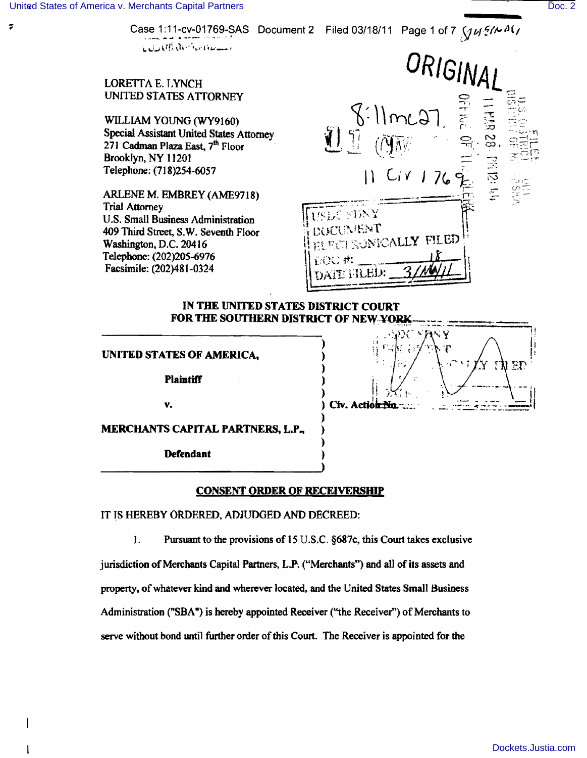$\overline{\mathbf{z}}$ 

LORE

UNITED STATES AT TOKNEY

WILLIAM YOUNG (WY9160) Special Assistant United States Attorney 271 Cadman Plaza East, 7<sup>th</sup> Floor Brooklyn, NY 11201 Telephone: (718)254-6057

ARLENE M. EMBREY (AME9718) Trial Attorney U.S. Small Business Administration 409 Third Street, S.W. Seventh Floor Washington, D.C. 20416 Telephone: (202)205-6976 Facsimile: (202)481-0324



## IN THE UNITED STATES DISTRICT COURT FOR THE SOUTHERN DISTRICT OF NEW YORK

) ) )

) ) ) ) )

UNITED STATES OF AMERICA,

**Plaintiff** 

v.

)  $\frac{1}{2}$ Civ. Actio

)  $\left(\begin{array}{cc} 1 & \cdots & \cdots & \cdots \\ 0 & \cdots & \cdots & \cdots & \cdots \\ 0 & \cdots & \cdots & \cdots & \cdots \end{array}\right)$ 

MERCHANTS CAPITAL PARTNERS, L.P.,

Defendant

## CONSENT ORDER OF RECEIVERSHIP

IT IS HEREBY ORDERED. ADJUDGED AND DECREED:

1. Pursuant to the provisions of 15 U.s.C. §687c, this Court takes exclusive

jurisdiction of Merchants Capital Partners, L.P. ("Merchants") and all of its assets and property, of whatever kind and wherever located, and the United States Small Business Administration ("SBA") is hereby appointed Receiver ("the Receiver") of Merchants to serve without bond until further order of this Court. The Receiver is appointed for the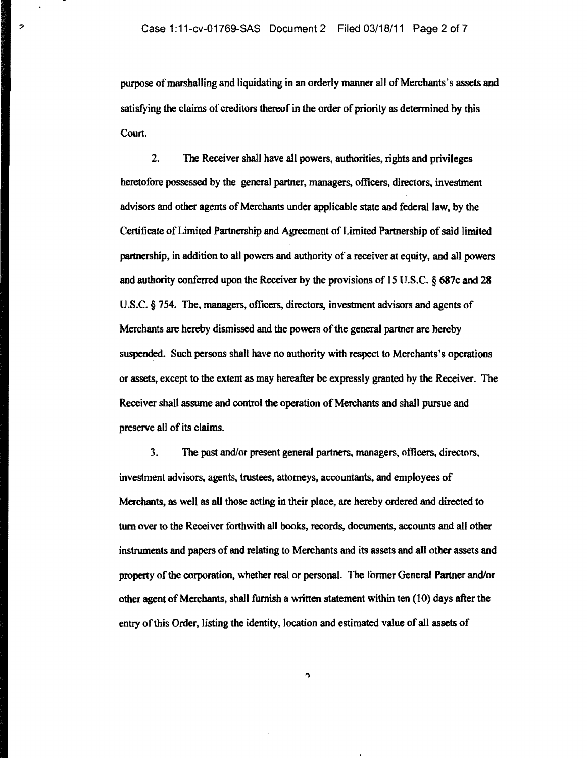$\overline{\mathcal{P}}$ 

purpose of marshalling and liquidating in an orderly manner all of Merchants's assets and satisfying the claims of creditors thereof in the order of priority as determined by this Court.

2. The Receiver shall have all powers, authorities, rights and privileges heretofore possessed by the general partner, managers, officers. directors. investment advisors and other agents of Merchants under applicable state and federal law. by the Certificate of Limited Partnership and Agreement of Limited Partnership of said limited partnership. in addition to all powers and authority of a receiver at equity. and all powers and authority conferred upon the Receiver by the provisions of 15 U.S.C. § 687c and 28 U.S.C. § 754. The, managers, officers, directors. investment advisors and agents of Merchants are hereby dismissed and the powers of the general partner are hereby suspended. Such persons shall have no authority with respect to Merchants's operations or assets. except to the extent as may hereafter be expressly granted by the Receiver. The Receiver shall assume and control the operation of Merchants and shall pursue and preserve all of its claims.

3. The past and/or present general partners, managers, officers, directors, investment advisors. agents. trustees, attorneys, accountants, and employees of Merchants, as well as aU those acting in their place, are hereby ordered and directed to turn over to the Receiver forthwith all books, records, documents, accounts and all other instruments and papers of and relating to Merchants and its assets and all other assets and property of the corporation. whether real or personal. The former General Partner and/or other agent of Merchants. shall furnish a written statement within ten (10) days after the entry of this Order, listing the identity, location and estimated value of all assets of

h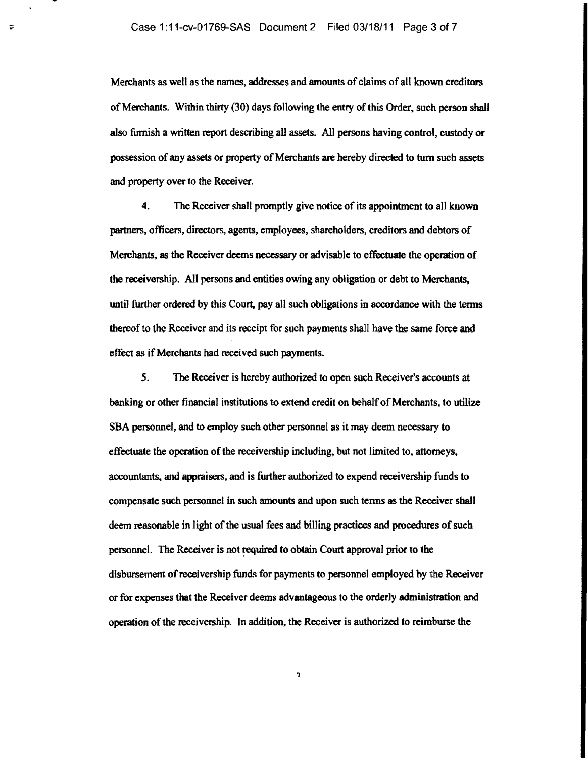$\tilde{\mathbf{v}}$ 

Merchants as well as the names, addresses and amounts of claims of all known creditors of Merchants. Within thirty (30) days following the entry of this Order, such person shall also furnish a written report describing all assets. All persons having control, custody or possession of any assets or property of Merchants are hereby directed to tum such assets and property over to the Receiver.

4. The Receiver shall promptly give notice of its appointment to all known partners, officers, directors, agents, employees, shareholders, creditors and debtors of Merchants, as the Receiver deems necessary or advisable to effectuate the operation of the receivership. All persons and entities owing any obligation or debt to Merchants, until further ordered by this Court, pay all such obligations in accordance with the terms thereof to the Receiver and its receipt for such payments shall have the same force and effect as if Merchants had received such payments.

5. The Receiver is hereby authorized to open such Receiver's accounts at banking or other financial institutions to extend credit on behalf of Merchants, to utilize SBA personnel, and to employ such other personnel as it may deem necessary to effectuate the operation of the receivership including, but not limited to, attorneys, accountants, and appraisers, and is further authorized to expend receivership funds to compensate such personnel in such amounts and upon such terms as the Receiver shall deem reasonable in light of the usual fees and billing practices and procedures of such personnel. The Receiver is not required to obtain Court approval prior to the disbursement of receivership funds for payments to personnel employed by the Receiver or for expenses that the Receiver deems advantageous to the orderJy administration and operation of the receivership. In addition, the Receiver is authorized to reimburse the

'1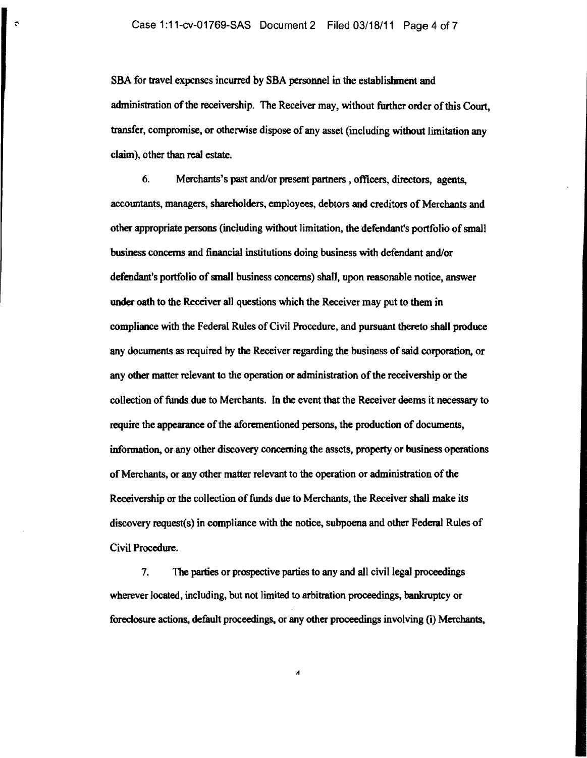SBA for travel expenses incurred by SBA personnel in the establishment and administration of the receivership. The Receiver may, without further order of this Court, transfer, compromise, or otherwise dispose of any asset (including without limitation any claim), other than real estate.

6. Merchants's past and/or present partners, officers, directors, agents, accountants, managers, shareholders, employees, debtors and creditors of Merchants and other appropriate persons (including without limitation, the defendant's portfolio of small business concerns and financial institutions doing business with defendant and/or defendant's portfolio of small business concerns) shall, upon reasonable notice, answer under oath to the Receiver all questions which the Receiver may put to tbem in compliance with the Federal Rules of Civil Procedure, and pursuant thereto shall produce any documents as required by the Receiver regarding the business of said corporation, or any other matter relevant to the operation or administration of the receivership or the collection of funds due to Merchants. In the event that the Receiver deems it necessary to require the appearance of the aforementioned persons, the production of documents, infonnation, or any other discovery concerning the assets, property or business operations of Merchants, or any other matter relevant to the operation or administration of the Receivership or the collection of funds due to Merchants, the Receiver shall make its discovery request(s) in compliance with the notice, subpoena and other Federal Rules of Civil Procedure.

7. The parties or prospective parties to any and all civil legal proceedings wherever located, including, but not limited to arbitration proceedings, bankruptcy or foreclosure actions, default proceedings, or any other proceedings involving (i) Merchants,

 $\boldsymbol{\Lambda}$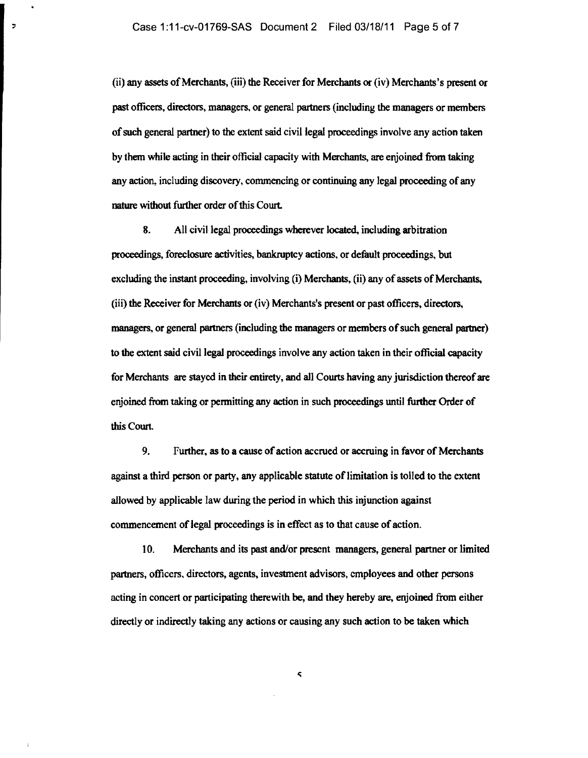$\overline{z}$ 

(ii) any assets of Merchants, (iii) the Receiver for Merchants or (iv) Merchants's present or past officers, directors, managers, or general partners (including the managers or members of such general partner) to the extent said civil legal proceedings involve any action taken by them while acting in their official capacity with Merchants, are enjoined from taking any action, including discovery, commencing or continuing any legal proceeding of any nature without further order of this Court.

8. All civil legal proceedings wherever located, including arbitration proceedings, foreclosure activities, bankruptcy actions, or default proceedings, but excluding the instant proceeding, involving (i) Merchants, (ii) any of assets of Merchants, (iii) the Receiver for Merchants or (iv) Merchants's present or past officers, directors. managers, or general partners (including the managers or members of such general partner) to the extent said civil legal proceedings involve any action taken in their official capacity for Merchants are stayed in their entirety, and all Courts having any jurisdiction thereof are enjoined from taking or permitting any action in such proceedings until further Order of this Court.

9. Further. as to a cause of action accrued or accruing in favor of Merchants against a third person or party. any applicable statute of limitation is tolled to the extent allowed by applicable law during the period in which this injunction against commencement of legal proceedings is in effect as to that cause of action.

10. Merchants and its past and/or present managers, general partner or limited partners, officers. directors, agents, investment advisors, employees and other persons acting in concert or participating therewith be, and they hereby are, enjoined from either directly or indirectly taking any actions or causing any such action to be taken which

 $\boldsymbol{\varsigma}$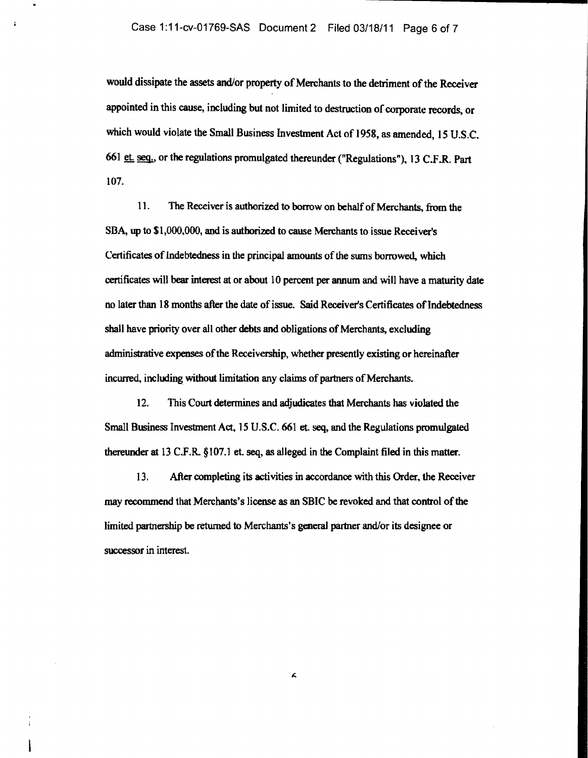z

would dissipate the assets and/or property of Merchants to the detriment of the Receiver appointed in this cause, including but not limited to destruction of corporate records, or which would violate the Small Business Investment Act of 1958, as amended, 15 U.S.C. 661 et. seq., or the regulations promulgated thereunder ("Regulations"), 13 C.F.R. Part 107.

11. The Receiver is authorized to borrow on behalf of Merchants, from the SBA, up to \$1,000,000, and is authorized to cause Merchants to issue Receiver's Certificates of Indebtedness in the principal amounts of the sums borrowed. which certificates will bear interest at or about 10 percent per annum and will have a maturity date no later than 18 months after the date of issue. Said Receiver's Certificates of shall have priority over all other debts and obligations of Merchants, excluding administrative expenses of the Receivership, whether presently existing or hereinafter incurred, including without limitation any claims of partners of Merchants.

12. This Court determines and adjudicates that Merchants has violated the Small Business Investment Act, 15 U.S.C. 661 et. seq, and the Regulations promulgated thereunder at 13 C.F.R. § 107.1 et. seq, as alleged in the Complaint filed in this matter.

13. After completing its activities in accordance with this Order, the Receiver may recommend that Merchants's license as an SBIC be revoked and that control of the limited partnership be returned to Merchants's general partner and/or its designee or successor in interest.

Á